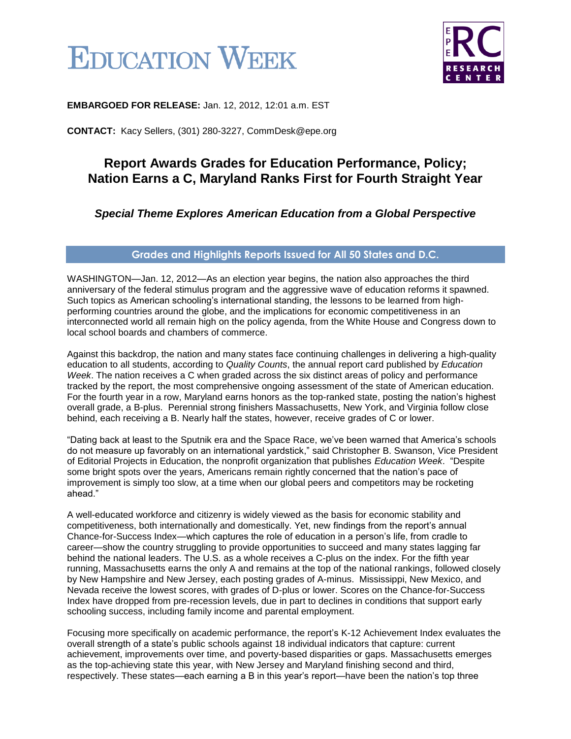



**EMBARGOED FOR RELEASE:** Jan. 12, 2012, 12:01 a.m. EST

**CONTACT:** Kacy Sellers, (301) 280-3227, CommDesk@epe.org

## **Report Awards Grades for Education Performance, Policy; Nation Earns a C, Maryland Ranks First for Fourth Straight Year**

#### *Special Theme Explores American Education from a Global Perspective*

#### **Grades and Highlights Reports Issued for All 50 States and D.C.**

WASHINGTON—Jan. 12, 2012—As an election year begins, the nation also approaches the third anniversary of the federal stimulus program and the aggressive wave of education reforms it spawned. Such topics as American schooling's international standing, the lessons to be learned from highperforming countries around the globe, and the implications for economic competitiveness in an interconnected world all remain high on the policy agenda, from the White House and Congress down to local school boards and chambers of commerce.

Against this backdrop, the nation and many states face continuing challenges in delivering a high-quality education to all students, according to *Quality Counts*, the annual report card published by *Education Week*. The nation receives a C when graded across the six distinct areas of policy and performance tracked by the report, the most comprehensive ongoing assessment of the state of American education. For the fourth year in a row, Maryland earns honors as the top-ranked state, posting the nation's highest overall grade, a B-plus. Perennial strong finishers Massachusetts, New York, and Virginia follow close behind, each receiving a B. Nearly half the states, however, receive grades of C or lower.

"Dating back at least to the Sputnik era and the Space Race, we've been warned that America's schools do not measure up favorably on an international yardstick," said Christopher B. Swanson, Vice President of Editorial Projects in Education, the nonprofit organization that publishes *Education Week*. "Despite some bright spots over the years, Americans remain rightly concerned that the nation's pace of improvement is simply too slow, at a time when our global peers and competitors may be rocketing ahead."

A well-educated workforce and citizenry is widely viewed as the basis for economic stability and competitiveness, both internationally and domestically. Yet, new findings from the report's annual Chance-for-Success Index—which captures the role of education in a person's life, from cradle to career—show the country struggling to provide opportunities to succeed and many states lagging far behind the national leaders. The U.S. as a whole receives a C-plus on the index. For the fifth year running, Massachusetts earns the only A and remains at the top of the national rankings, followed closely by New Hampshire and New Jersey, each posting grades of A-minus. Mississippi, New Mexico, and Nevada receive the lowest scores, with grades of D-plus or lower. Scores on the Chance-for-Success Index have dropped from pre-recession levels, due in part to declines in conditions that support early schooling success, including family income and parental employment.

Focusing more specifically on academic performance, the report's K-12 Achievement Index evaluates the overall strength of a state's public schools against 18 individual indicators that capture: current achievement, improvements over time, and poverty-based disparities or gaps. Massachusetts emerges as the top-achieving state this year, with New Jersey and Maryland finishing second and third, respectively. These states—each earning a B in this year's report—have been the nation's top three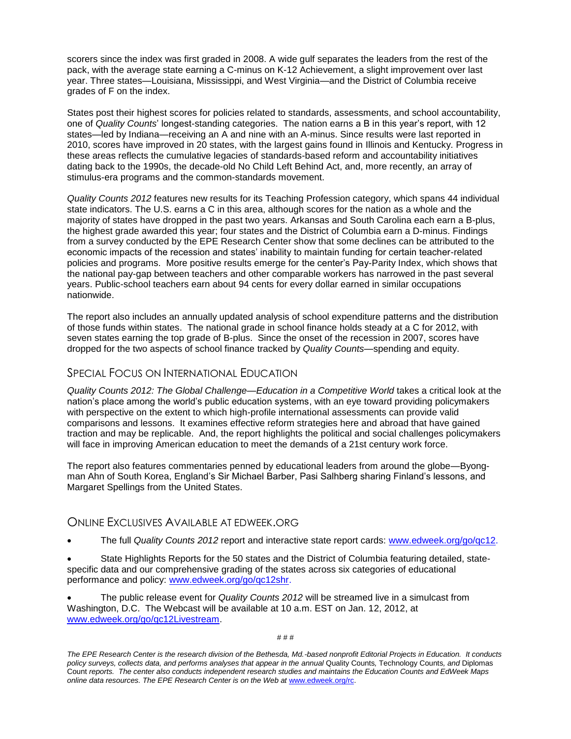scorers since the index was first graded in 2008. A wide gulf separates the leaders from the rest of the pack, with the average state earning a C-minus on K-12 Achievement, a slight improvement over last year. Three states—Louisiana, Mississippi, and West Virginia—and the District of Columbia receive grades of F on the index.

States post their highest scores for policies related to standards, assessments, and school accountability, one of *Quality Counts*' longest-standing categories. The nation earns a B in this year's report, with 12 states—led by Indiana—receiving an A and nine with an A-minus. Since results were last reported in 2010, scores have improved in 20 states, with the largest gains found in Illinois and Kentucky. Progress in these areas reflects the cumulative legacies of standards-based reform and accountability initiatives dating back to the 1990s, the decade-old No Child Left Behind Act, and, more recently, an array of stimulus-era programs and the common-standards movement.

*Quality Counts 2012* features new results for its Teaching Profession category, which spans 44 individual state indicators. The U.S. earns a C in this area, although scores for the nation as a whole and the majority of states have dropped in the past two years. Arkansas and South Carolina each earn a B-plus, the highest grade awarded this year; four states and the District of Columbia earn a D-minus. Findings from a survey conducted by the EPE Research Center show that some declines can be attributed to the economic impacts of the recession and states' inability to maintain funding for certain teacher-related policies and programs. More positive results emerge for the center's Pay-Parity Index, which shows that the national pay-gap between teachers and other comparable workers has narrowed in the past several years. Public-school teachers earn about 94 cents for every dollar earned in similar occupations nationwide.

The report also includes an annually updated analysis of school expenditure patterns and the distribution of those funds within states. The national grade in school finance holds steady at a C for 2012, with seven states earning the top grade of B-plus. Since the onset of the recession in 2007, scores have dropped for the two aspects of school finance tracked by *Quality Counts*—spending and equity.

#### SPECIAL FOCUS ON INTERNATIONAL EDUCATION

*Quality Counts 2012: The Global Challenge—Education in a Competitive World* takes a critical look at the nation's place among the world's public education systems, with an eye toward providing policymakers with perspective on the extent to which high-profile international assessments can provide valid comparisons and lessons. It examines effective reform strategies here and abroad that have gained traction and may be replicable. And, the report highlights the political and social challenges policymakers will face in improving American education to meet the demands of a 21st century work force.

The report also features commentaries penned by educational leaders from around the globe—Byongman Ahn of South Korea, England's Sir Michael Barber, Pasi Salhberg sharing Finland's lessons, and Margaret Spellings from the United States.

#### ONLINE EXCLUSIVES AVAILABLE AT EDWEEK.ORG

The full *Quality Counts 2012* report and interactive state report cards: [www.edweek.org/go/qc12.](http://www.edweek.org/go/qc12)

 State Highlights Reports for the 50 states and the District of Columbia featuring detailed, statespecific data and our comprehensive grading of the states across six categories of educational performance and policy: [www.edweek.org/go/qc12shr.](http://www.edweek.org/go/qc12shr)

 The public release event for *Quality Counts 2012* will be streamed live in a simulcast from Washington, D.C. The Webcast will be available at 10 a.m. EST on Jan. 12, 2012, at [www.edweek.org/go/qc12Livestream.](http://www.edweek.org/go/qc12Livestream)

*The EPE Research Center is the research division of the Bethesda, Md.-based nonprofit Editorial Projects in Education. It conducts policy surveys, collects data, and performs analyses that appear in the annual* Quality Counts*,* Technology Counts*, and* Diplomas Count *reports. The center also conducts independent research studies and maintains the Education Counts and EdWeek Maps online data resources. The EPE Research Center is on the Web at* [www.edweek.org/rc.](http://www.edweek.org/rc)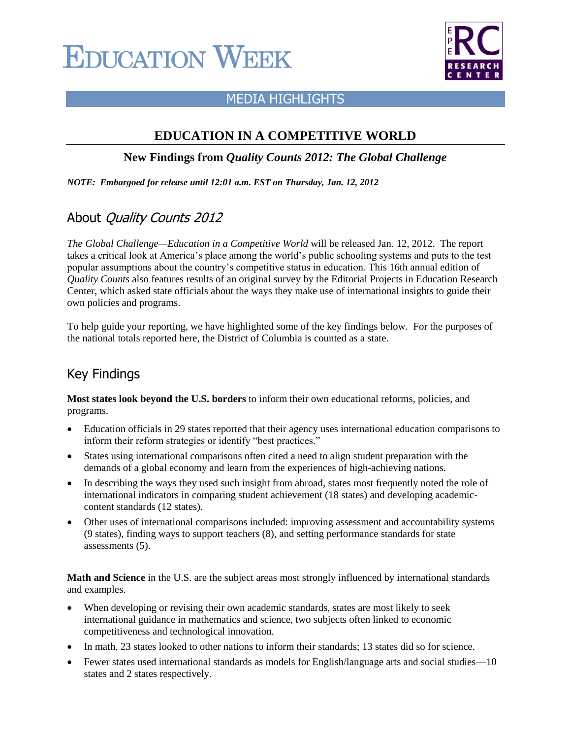# **EDUCATION WEEK**



### MEDIA HIGHLIGHTS

### **EDUCATION IN A COMPETITIVE WORLD**

#### **New Findings from** *Quality Counts 2012: The Global Challenge*

*NOTE: Embargoed for release until 12:01 a.m. EST on Thursday, Jan. 12, 2012*

# About Quality Counts 2012

*The Global Challenge—Education in a Competitive World* will be released Jan. 12, 2012. The report takes a critical look at America's place among the world's public schooling systems and puts to the test popular assumptions about the country's competitive status in education. This 16th annual edition of *Quality Counts* also features results of an original survey by the Editorial Projects in Education Research Center, which asked state officials about the ways they make use of international insights to guide their own policies and programs.

To help guide your reporting, we have highlighted some of the key findings below. For the purposes of the national totals reported here, the District of Columbia is counted as a state.

# Key Findings

**Most states look beyond the U.S. borders** to inform their own educational reforms, policies, and programs.

- Education officials in 29 states reported that their agency uses international education comparisons to inform their reform strategies or identify "best practices."
- States using international comparisons often cited a need to align student preparation with the demands of a global economy and learn from the experiences of high-achieving nations.
- In describing the ways they used such insight from abroad, states most frequently noted the role of international indicators in comparing student achievement (18 states) and developing academiccontent standards (12 states).
- Other uses of international comparisons included: improving assessment and accountability systems (9 states), finding ways to support teachers (8), and setting performance standards for state assessments (5).

**Math and Science** in the U.S. are the subject areas most strongly influenced by international standards and examples.

- When developing or revising their own academic standards, states are most likely to seek international guidance in mathematics and science, two subjects often linked to economic competitiveness and technological innovation.
- In math, 23 states looked to other nations to inform their standards; 13 states did so for science.
- Fewer states used international standards as models for English/language arts and social studies—10 states and 2 states respectively.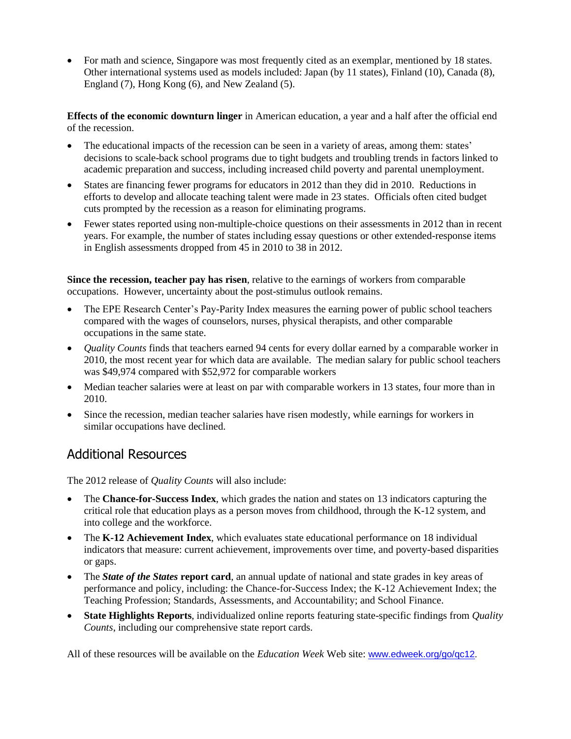• For math and science, Singapore was most frequently cited as an exemplar, mentioned by 18 states. Other international systems used as models included: Japan (by 11 states), Finland (10), Canada (8), England (7), Hong Kong (6), and New Zealand (5).

**Effects of the economic downturn linger** in American education, a year and a half after the official end of the recession.

- The educational impacts of the recession can be seen in a variety of areas, among them: states' decisions to scale-back school programs due to tight budgets and troubling trends in factors linked to academic preparation and success, including increased child poverty and parental unemployment.
- States are financing fewer programs for educators in 2012 than they did in 2010. Reductions in efforts to develop and allocate teaching talent were made in 23 states. Officials often cited budget cuts prompted by the recession as a reason for eliminating programs.
- Fewer states reported using non-multiple-choice questions on their assessments in 2012 than in recent years. For example, the number of states including essay questions or other extended-response items in English assessments dropped from 45 in 2010 to 38 in 2012.

**Since the recession, teacher pay has risen**, relative to the earnings of workers from comparable occupations. However, uncertainty about the post-stimulus outlook remains.

- The EPE Research Center's Pay-Parity Index measures the earning power of public school teachers compared with the wages of counselors, nurses, physical therapists, and other comparable occupations in the same state.
- *Quality Counts* finds that teachers earned 94 cents for every dollar earned by a comparable worker in 2010, the most recent year for which data are available. The median salary for public school teachers was \$49,974 compared with \$52,972 for comparable workers
- Median teacher salaries were at least on par with comparable workers in 13 states, four more than in 2010.
- Since the recession, median teacher salaries have risen modestly, while earnings for workers in similar occupations have declined.

# Additional Resources

The 2012 release of *Quality Counts* will also include:

- The **Chance-for-Success Index**, which grades the nation and states on 13 indicators capturing the critical role that education plays as a person moves from childhood, through the K-12 system, and into college and the workforce.
- The **K-12 Achievement Index**, which evaluates state educational performance on 18 individual indicators that measure: current achievement, improvements over time, and poverty-based disparities or gaps.
- The *State of the States* **report card**, an annual update of national and state grades in key areas of performance and policy, including: the Chance-for-Success Index; the K-12 Achievement Index; the Teaching Profession; Standards, Assessments, and Accountability; and School Finance.
- **State Highlights Reports**, individualized online reports featuring state-specific findings from *Quality Counts*, including our comprehensive state report cards.

All of these resources will be available on the *Education Week* Web site: [www.edweek.org/go/qc12](http://www.edweek.org/go/qc12).